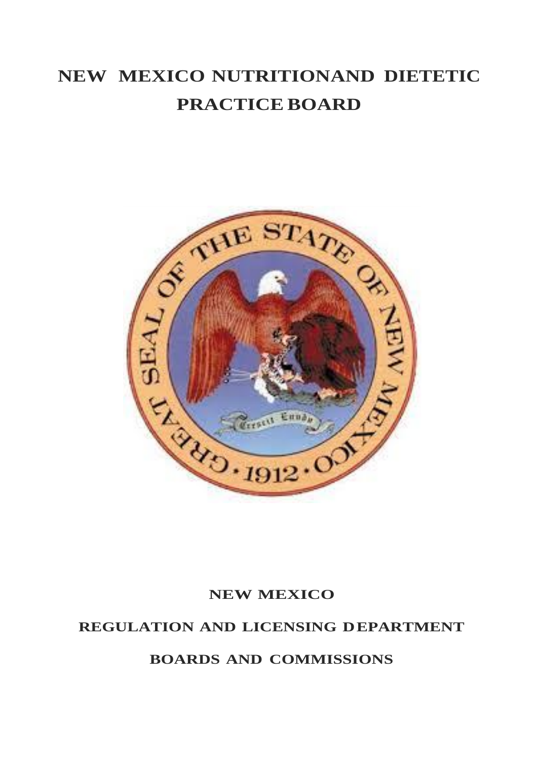# **NEW MEXICO NUTRITIONAND DIETETIC PRACTICE BOARD**



### **NEW MEXICO**

### **REGULATION AND LICENSING DEPARTMENT**

**BOARDS AND COMMISSIONS**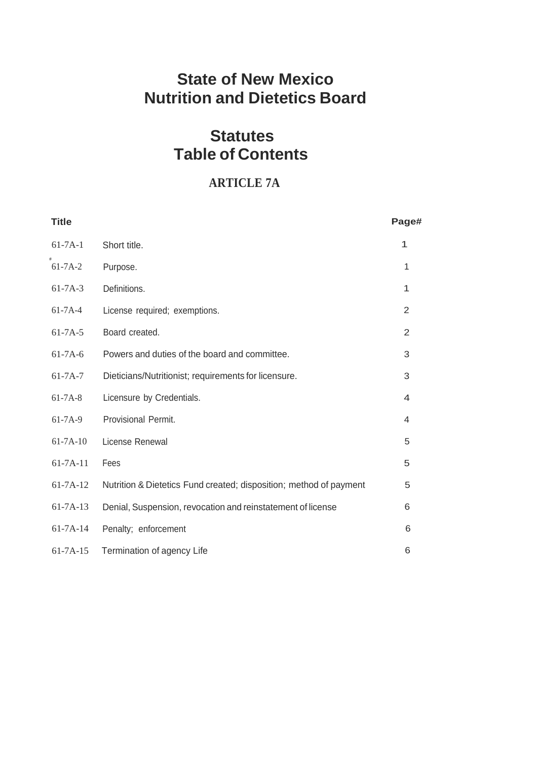## **State of New Mexico Nutrition and Dietetics Board**

## **Statutes Table of Contents**

### **ARTICLE 7A**

| <b>Title</b>   |                                                                    | Page#          |
|----------------|--------------------------------------------------------------------|----------------|
| $61 - 7A - 1$  | Short title.                                                       | 1              |
| $61 - 7A - 2$  | Purpose.                                                           | 1              |
| $61 - 7A - 3$  | Definitions.                                                       | 1              |
| $61 - 7A - 4$  | License required; exemptions.                                      | $\overline{2}$ |
| $61 - 7A - 5$  | Board created.                                                     | 2              |
| $61 - 7A - 6$  | Powers and duties of the board and committee.                      | 3              |
| $61 - 7A - 7$  | Dieticians/Nutritionist; requirements for licensure.               | 3              |
| $61 - 7A - 8$  | Licensure by Credentials.                                          | 4              |
| $61 - 7A - 9$  | Provisional Permit.                                                | $\overline{4}$ |
| $61 - 7A - 10$ | License Renewal                                                    | 5              |
| $61 - 7A - 11$ | Fees                                                               | 5              |
| $61 - 7A - 12$ | Nutrition & Dietetics Fund created; disposition; method of payment | 5              |
| $61 - 7A - 13$ | Denial, Suspension, revocation and reinstatement of license        | 6              |
| $61 - 7A - 14$ | Penalty; enforcement                                               | 6              |
| $61 - 7A - 15$ | Termination of agency Life                                         | 6              |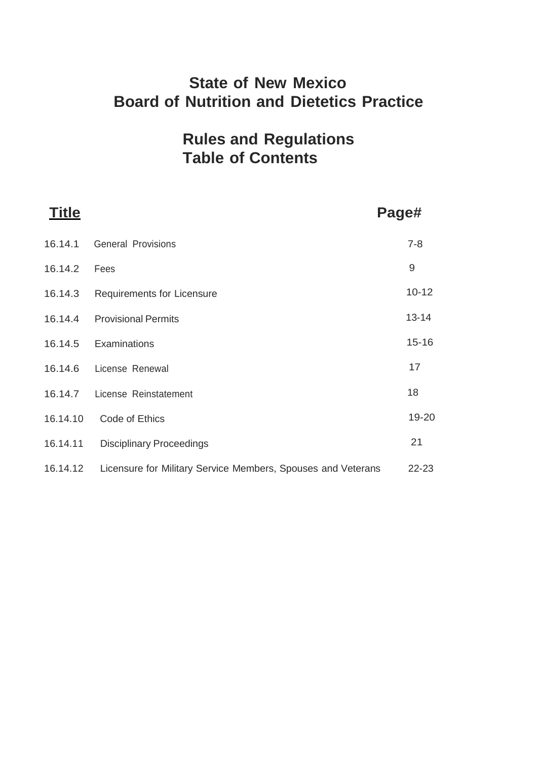## **State of New Mexico Board of Nutrition and Dietetics Practice**

## **Rules and Regulations Table of Contents**

| <b>Title</b> |                                                              | Page#     |
|--------------|--------------------------------------------------------------|-----------|
| 16.14.1      | <b>General Provisions</b>                                    | $7 - 8$   |
| 16.14.2      | Fees                                                         | 9         |
| 16.14.3      | <b>Requirements for Licensure</b>                            | $10 - 12$ |
| 16.14.4      | <b>Provisional Permits</b>                                   | $13 - 14$ |
| 16.14.5      | Examinations                                                 | $15 - 16$ |
| 16.14.6      | License Renewal                                              | 17        |
| 16.14.7      | License Reinstatement                                        | 18        |
| 16.14.10     | Code of Ethics                                               | 19-20     |
| 16.14.11     | <b>Disciplinary Proceedings</b>                              | 21        |
| 16.14.12     | Licensure for Military Service Members, Spouses and Veterans | 22-23     |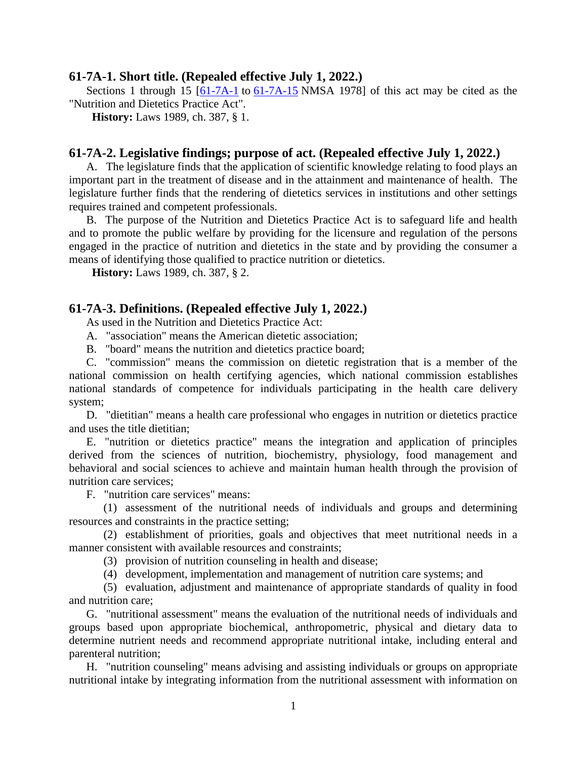#### **61-7A-1. Short title. (Repealed effective July 1, 2022.)**

Sections 1 through 15  $\overline{61-7A-1}$  to  $\overline{61-7A-15}$  $\overline{61-7A-15}$  $\overline{61-7A-15}$  NMSA 1978 of this act may be cited as the "Nutrition and Dietetics Practice Act".

**History:** Laws 1989, ch. 387, § 1.

#### **61-7A-2. Legislative findings; purpose of act. (Repealed effective July 1, 2022.)**

A. The legislature finds that the application of scientific knowledge relating to food plays an important part in the treatment of disease and in the attainment and maintenance of health. The legislature further finds that the rendering of dietetics services in institutions and other settings requires trained and competent professionals.

B. The purpose of the Nutrition and Dietetics Practice Act is to safeguard life and health and to promote the public welfare by providing for the licensure and regulation of the persons engaged in the practice of nutrition and dietetics in the state and by providing the consumer a means of identifying those qualified to practice nutrition or dietetics.

**History:** Laws 1989, ch. 387, § 2.

#### **61-7A-3. Definitions. (Repealed effective July 1, 2022.)**

As used in the Nutrition and Dietetics Practice Act:

A. "association" means the American dietetic association;

B. "board" means the nutrition and dietetics practice board;

C. "commission" means the commission on dietetic registration that is a member of the national commission on health certifying agencies, which national commission establishes national standards of competence for individuals participating in the health care delivery system;

D. "dietitian" means a health care professional who engages in nutrition or dietetics practice and uses the title dietitian;

E. "nutrition or dietetics practice" means the integration and application of principles derived from the sciences of nutrition, biochemistry, physiology, food management and behavioral and social sciences to achieve and maintain human health through the provision of nutrition care services;

F. "nutrition care services" means:

(1) assessment of the nutritional needs of individuals and groups and determining resources and constraints in the practice setting;

(2) establishment of priorities, goals and objectives that meet nutritional needs in a manner consistent with available resources and constraints:

- (3) provision of nutrition counseling in health and disease;
- (4) development, implementation and management of nutrition care systems; and

(5) evaluation, adjustment and maintenance of appropriate standards of quality in food and nutrition care;

G. "nutritional assessment" means the evaluation of the nutritional needs of individuals and groups based upon appropriate biochemical, anthropometric, physical and dietary data to determine nutrient needs and recommend appropriate nutritional intake, including enteral and parenteral nutrition;

H. "nutrition counseling" means advising and assisting individuals or groups on appropriate nutritional intake by integrating information from the nutritional assessment with information on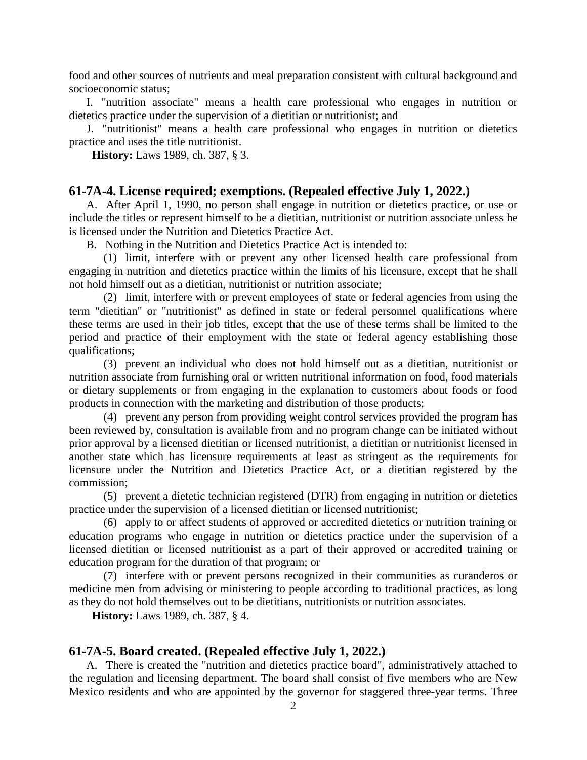food and other sources of nutrients and meal preparation consistent with cultural background and socioeconomic status;

I. "nutrition associate" means a health care professional who engages in nutrition or dietetics practice under the supervision of a dietitian or nutritionist; and

J. "nutritionist" means a health care professional who engages in nutrition or dietetics practice and uses the title nutritionist.

**History:** Laws 1989, ch. 387, § 3.

#### **61-7A-4. License required; exemptions. (Repealed effective July 1, 2022.)**

A. After April 1, 1990, no person shall engage in nutrition or dietetics practice, or use or include the titles or represent himself to be a dietitian, nutritionist or nutrition associate unless he is licensed under the Nutrition and Dietetics Practice Act.

B. Nothing in the Nutrition and Dietetics Practice Act is intended to:

(1) limit, interfere with or prevent any other licensed health care professional from engaging in nutrition and dietetics practice within the limits of his licensure, except that he shall not hold himself out as a dietitian, nutritionist or nutrition associate;

(2) limit, interfere with or prevent employees of state or federal agencies from using the term "dietitian" or "nutritionist" as defined in state or federal personnel qualifications where these terms are used in their job titles, except that the use of these terms shall be limited to the period and practice of their employment with the state or federal agency establishing those qualifications;

(3) prevent an individual who does not hold himself out as a dietitian, nutritionist or nutrition associate from furnishing oral or written nutritional information on food, food materials or dietary supplements or from engaging in the explanation to customers about foods or food products in connection with the marketing and distribution of those products;

(4) prevent any person from providing weight control services provided the program has been reviewed by, consultation is available from and no program change can be initiated without prior approval by a licensed dietitian or licensed nutritionist, a dietitian or nutritionist licensed in another state which has licensure requirements at least as stringent as the requirements for licensure under the Nutrition and Dietetics Practice Act, or a dietitian registered by the commission;

(5) prevent a dietetic technician registered (DTR) from engaging in nutrition or dietetics practice under the supervision of a licensed dietitian or licensed nutritionist;

(6) apply to or affect students of approved or accredited dietetics or nutrition training or education programs who engage in nutrition or dietetics practice under the supervision of a licensed dietitian or licensed nutritionist as a part of their approved or accredited training or education program for the duration of that program; or

(7) interfere with or prevent persons recognized in their communities as curanderos or medicine men from advising or ministering to people according to traditional practices, as long as they do not hold themselves out to be dietitians, nutritionists or nutrition associates.

**History:** Laws 1989, ch. 387, § 4.

#### **61-7A-5. Board created. (Repealed effective July 1, 2022.)**

A. There is created the "nutrition and dietetics practice board", administratively attached to the regulation and licensing department. The board shall consist of five members who are New Mexico residents and who are appointed by the governor for staggered three-year terms. Three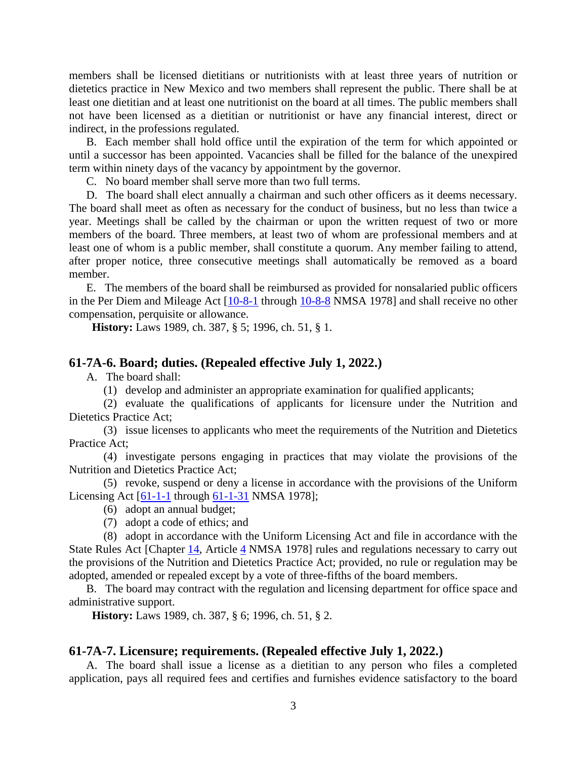members shall be licensed dietitians or nutritionists with at least three years of nutrition or dietetics practice in New Mexico and two members shall represent the public. There shall be at least one dietitian and at least one nutritionist on the board at all times. The public members shall not have been licensed as a dietitian or nutritionist or have any financial interest, direct or indirect, in the professions regulated.

B. Each member shall hold office until the expiration of the term for which appointed or until a successor has been appointed. Vacancies shall be filled for the balance of the unexpired term within ninety days of the vacancy by appointment by the governor.

C. No board member shall serve more than two full terms.

D. The board shall elect annually a chairman and such other officers as it deems necessary. The board shall meet as often as necessary for the conduct of business, but no less than twice a year. Meetings shall be called by the chairman or upon the written request of two or more members of the board. Three members, at least two of whom are professional members and at least one of whom is a public member, shall constitute a quorum. Any member failing to attend, after proper notice, three consecutive meetings shall automatically be removed as a board member.

E. The members of the board shall be reimbursed as provided for nonsalaried public officers in the Per Diem and Mileage Act [\[10-8-1](http://public.nmcompcomm.us/nmpublic/gateway.dll?f=jumplink$jumplink_x=Advanced$jumplink_vpc=first$jumplink_xsl=querylink.xsl$jumplink_sel=title;path;content-type;home-title;item-bookmark$jumplink_d=%7bnmsu%7d$jumplink_q=%5bfield%20folio-destination-name:%2710-8-1%27%5d$jumplink_md=target-id=0-0-0-2221) through [10-8-8](http://public.nmcompcomm.us/nmpublic/gateway.dll?f=jumplink$jumplink_x=Advanced$jumplink_vpc=first$jumplink_xsl=querylink.xsl$jumplink_sel=title;path;content-type;home-title;item-bookmark$jumplink_d=%7bnmsu%7d$jumplink_q=%5bfield%20folio-destination-name:%2710-8-8%27%5d$jumplink_md=target-id=0-0-0-2223) NMSA 1978] and shall receive no other compensation, perquisite or allowance.

**History:** Laws 1989, ch. 387, § 5; 1996, ch. 51, § 1.

#### **61-7A-6. Board; duties. (Repealed effective July 1, 2022.)**

A. The board shall:

(1) develop and administer an appropriate examination for qualified applicants;

(2) evaluate the qualifications of applicants for licensure under the Nutrition and Dietetics Practice Act;

(3) issue licenses to applicants who meet the requirements of the Nutrition and Dietetics Practice Act;

(4) investigate persons engaging in practices that may violate the provisions of the Nutrition and Dietetics Practice Act;

(5) revoke, suspend or deny a license in accordance with the provisions of the Uniform Licensing Act [\[61-1-1](http://public.nmcompcomm.us/nmpublic/gateway.dll?f=jumplink$jumplink_x=Advanced$jumplink_vpc=first$jumplink_xsl=querylink.xsl$jumplink_sel=title;path;content-type;home-title;item-bookmark$jumplink_d=%7bnmsu%7d$jumplink_q=%5bfield%20folio-destination-name:%2761-1-1%27%5d$jumplink_md=target-id=0-0-0-25479) through [61-1-31](http://public.nmcompcomm.us/nmpublic/gateway.dll?f=jumplink$jumplink_x=Advanced$jumplink_vpc=first$jumplink_xsl=querylink.xsl$jumplink_sel=title;path;content-type;home-title;item-bookmark$jumplink_d=%7bnmsu%7d$jumplink_q=%5bfield%20folio-destination-name:%2761-1-31%27%5d$jumplink_md=target-id=0-0-0-29941) NMSA 1978];

(6) adopt an annual budget;

(7) adopt a code of ethics; and

(8) adopt in accordance with the Uniform Licensing Act and file in accordance with the State Rules Act [Chapter [14,](http://public.nmcompcomm.us/nmpublic/gateway.dll?f=jumplink$jumplink_x=Advanced$jumplink_vpc=first$jumplink_xsl=querylink.xsl$jumplink_sel=title;path;content-type;home-title;item-bookmark$jumplink_d=%7bnmsu%7d$jumplink_q=%5bfield%20folio-destination-name:%27ch.%2014%27%5d$jumplink_md=target-id=0-0-0-1725) Article [4](http://public.nmcompcomm.us/nmpublic/gateway.dll?f=jumplink$jumplink_x=Advanced$jumplink_vpc=first$jumplink_xsl=querylink.xsl$jumplink_sel=title;path;content-type;home-title;item-bookmark$jumplink_d=%7bnmsu%7d$jumplink_q=%5bfield%20folio-destination-name:%27ch.%2014%2C%20art.%204%27%5d$jumplink_md=target-id=0-0-0-2171) NMSA 1978] rules and regulations necessary to carry out the provisions of the Nutrition and Dietetics Practice Act; provided, no rule or regulation may be adopted, amended or repealed except by a vote of three-fifths of the board members.

B. The board may contract with the regulation and licensing department for office space and administrative support.

**History:** Laws 1989, ch. 387, § 6; 1996, ch. 51, § 2.

#### **61-7A-7. Licensure; requirements. (Repealed effective July 1, 2022.)**

A. The board shall issue a license as a dietitian to any person who files a completed application, pays all required fees and certifies and furnishes evidence satisfactory to the board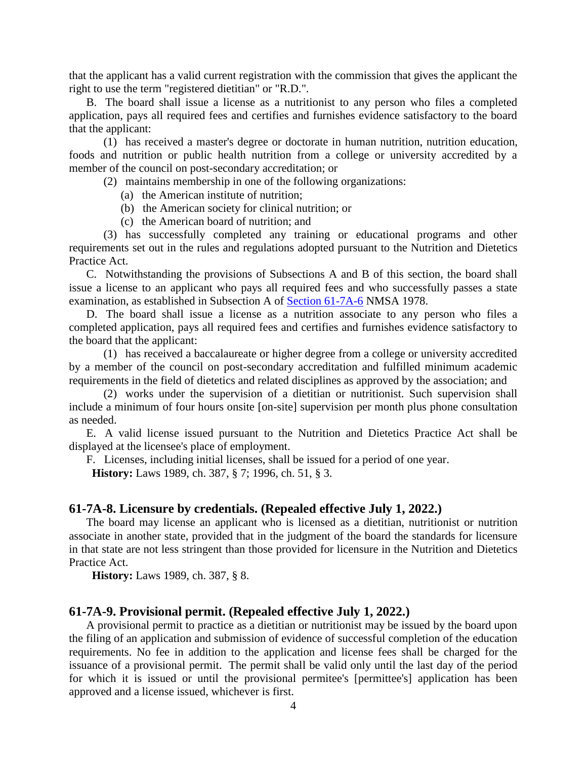that the applicant has a valid current registration with the commission that gives the applicant the right to use the term "registered dietitian" or "R.D.".

B. The board shall issue a license as a nutritionist to any person who files a completed application, pays all required fees and certifies and furnishes evidence satisfactory to the board that the applicant:

(1) has received a master's degree or doctorate in human nutrition, nutrition education, foods and nutrition or public health nutrition from a college or university accredited by a member of the council on post-secondary accreditation; or

(2) maintains membership in one of the following organizations:

- (a) the American institute of nutrition;
- (b) the American society for clinical nutrition; or
- (c) the American board of nutrition; and

(3) has successfully completed any training or educational programs and other requirements set out in the rules and regulations adopted pursuant to the Nutrition and Dietetics Practice Act.

C. Notwithstanding the provisions of Subsections A and B of this section, the board shall issue a license to an applicant who pays all required fees and who successfully passes a state examination, as established in Subsection A of [Section 61-7A-6](http://public.nmcompcomm.us/nmpublic/gateway.dll?f=jumplink$jumplink_x=Advanced$jumplink_vpc=first$jumplink_xsl=querylink.xsl$jumplink_sel=title;path;content-type;home-title;item-bookmark$jumplink_d=%7bnmsu%7d$jumplink_q=%5bfield%20folio-destination-name:%2761-7A-6%27%5d$jumplink_md=target-id=0-0-0-100177) NMSA 1978.

D. The board shall issue a license as a nutrition associate to any person who files a completed application, pays all required fees and certifies and furnishes evidence satisfactory to the board that the applicant:

(1) has received a baccalaureate or higher degree from a college or university accredited by a member of the council on post-secondary accreditation and fulfilled minimum academic requirements in the field of dietetics and related disciplines as approved by the association; and

(2) works under the supervision of a dietitian or nutritionist. Such supervision shall include a minimum of four hours onsite [on-site] supervision per month plus phone consultation as needed.

E. A valid license issued pursuant to the Nutrition and Dietetics Practice Act shall be displayed at the licensee's place of employment.

F. Licenses, including initial licenses, shall be issued for a period of one year.

**History:** Laws 1989, ch. 387, § 7; 1996, ch. 51, § 3.

#### **61-7A-8. Licensure by credentials. (Repealed effective July 1, 2022.)**

The board may license an applicant who is licensed as a dietitian, nutritionist or nutrition associate in another state, provided that in the judgment of the board the standards for licensure in that state are not less stringent than those provided for licensure in the Nutrition and Dietetics Practice Act.

**History:** Laws 1989, ch. 387, § 8.

#### **61-7A-9. Provisional permit. (Repealed effective July 1, 2022.)**

A provisional permit to practice as a dietitian or nutritionist may be issued by the board upon the filing of an application and submission of evidence of successful completion of the education requirements. No fee in addition to the application and license fees shall be charged for the issuance of a provisional permit. The permit shall be valid only until the last day of the period for which it is issued or until the provisional permitee's [permittee's] application has been approved and a license issued, whichever is first.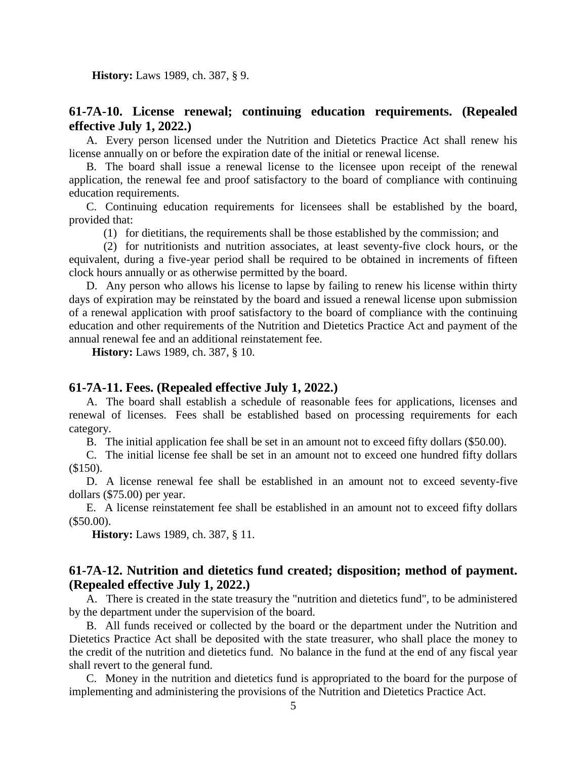**History:** Laws 1989, ch. 387, § 9.

### **61-7A-10. License renewal; continuing education requirements. (Repealed effective July 1, 2022.)**

A. Every person licensed under the Nutrition and Dietetics Practice Act shall renew his license annually on or before the expiration date of the initial or renewal license.

B. The board shall issue a renewal license to the licensee upon receipt of the renewal application, the renewal fee and proof satisfactory to the board of compliance with continuing education requirements.

C. Continuing education requirements for licensees shall be established by the board, provided that:

(1) for dietitians, the requirements shall be those established by the commission; and

(2) for nutritionists and nutrition associates, at least seventy-five clock hours, or the equivalent, during a five-year period shall be required to be obtained in increments of fifteen clock hours annually or as otherwise permitted by the board.

D. Any person who allows his license to lapse by failing to renew his license within thirty days of expiration may be reinstated by the board and issued a renewal license upon submission of a renewal application with proof satisfactory to the board of compliance with the continuing education and other requirements of the Nutrition and Dietetics Practice Act and payment of the annual renewal fee and an additional reinstatement fee.

**History:** Laws 1989, ch. 387, § 10.

#### **61-7A-11. Fees. (Repealed effective July 1, 2022.)**

A. The board shall establish a schedule of reasonable fees for applications, licenses and renewal of licenses. Fees shall be established based on processing requirements for each category.

B. The initial application fee shall be set in an amount not to exceed fifty dollars (\$50.00).

C. The initial license fee shall be set in an amount not to exceed one hundred fifty dollars (\$150).

D. A license renewal fee shall be established in an amount not to exceed seventy-five dollars (\$75.00) per year.

E. A license reinstatement fee shall be established in an amount not to exceed fifty dollars (\$50.00).

**History:** Laws 1989, ch. 387, § 11.

#### **61-7A-12. Nutrition and dietetics fund created; disposition; method of payment. (Repealed effective July 1, 2022.)**

A. There is created in the state treasury the "nutrition and dietetics fund", to be administered by the department under the supervision of the board.

B. All funds received or collected by the board or the department under the Nutrition and Dietetics Practice Act shall be deposited with the state treasurer, who shall place the money to the credit of the nutrition and dietetics fund. No balance in the fund at the end of any fiscal year shall revert to the general fund.

C. Money in the nutrition and dietetics fund is appropriated to the board for the purpose of implementing and administering the provisions of the Nutrition and Dietetics Practice Act.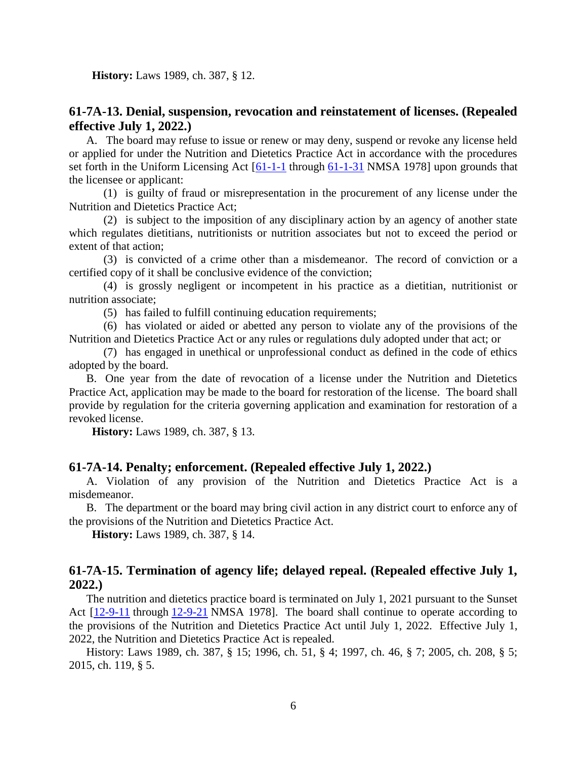**History:** Laws 1989, ch. 387, § 12.

#### **61-7A-13. Denial, suspension, revocation and reinstatement of licenses. (Repealed effective July 1, 2022.)**

A. The board may refuse to issue or renew or may deny, suspend or revoke any license held or applied for under the Nutrition and Dietetics Practice Act in accordance with the procedures set forth in the Uniform Licensing Act [\[61-1-1](http://public.nmcompcomm.us/nmpublic/gateway.dll?f=jumplink$jumplink_x=Advanced$jumplink_vpc=first$jumplink_xsl=querylink.xsl$jumplink_sel=title;path;content-type;home-title;item-bookmark$jumplink_d=%7bnmsu%7d$jumplink_q=%5bfield%20folio-destination-name:%2761-1-1%27%5d$jumplink_md=target-id=0-0-0-25479) through [61-1-31](http://public.nmcompcomm.us/nmpublic/gateway.dll?f=jumplink$jumplink_x=Advanced$jumplink_vpc=first$jumplink_xsl=querylink.xsl$jumplink_sel=title;path;content-type;home-title;item-bookmark$jumplink_d=%7bnmsu%7d$jumplink_q=%5bfield%20folio-destination-name:%2761-1-31%27%5d$jumplink_md=target-id=0-0-0-29941) NMSA 1978] upon grounds that the licensee or applicant:

(1) is guilty of fraud or misrepresentation in the procurement of any license under the Nutrition and Dietetics Practice Act;

(2) is subject to the imposition of any disciplinary action by an agency of another state which regulates dietitians, nutritionists or nutrition associates but not to exceed the period or extent of that action;

(3) is convicted of a crime other than a misdemeanor. The record of conviction or a certified copy of it shall be conclusive evidence of the conviction;

(4) is grossly negligent or incompetent in his practice as a dietitian, nutritionist or nutrition associate;

(5) has failed to fulfill continuing education requirements;

(6) has violated or aided or abetted any person to violate any of the provisions of the Nutrition and Dietetics Practice Act or any rules or regulations duly adopted under that act; or

(7) has engaged in unethical or unprofessional conduct as defined in the code of ethics adopted by the board.

B. One year from the date of revocation of a license under the Nutrition and Dietetics Practice Act, application may be made to the board for restoration of the license. The board shall provide by regulation for the criteria governing application and examination for restoration of a revoked license.

**History:** Laws 1989, ch. 387, § 13.

#### **61-7A-14. Penalty; enforcement. (Repealed effective July 1, 2022.)**

A. Violation of any provision of the Nutrition and Dietetics Practice Act is a misdemeanor.

B. The department or the board may bring civil action in any district court to enforce any of the provisions of the Nutrition and Dietetics Practice Act.

**History:** Laws 1989, ch. 387, § 14.

#### **61-7A-15. Termination of agency life; delayed repeal. (Repealed effective July 1, 2022.)**

The nutrition and dietetics practice board is terminated on July 1, 2021 pursuant to the Sunset Act  $[12-9-11]$  $[12-9-11]$  through  $12-9-21$  NMSA 1978]. The board shall continue to operate according to the provisions of the Nutrition and Dietetics Practice Act until July 1, 2022. Effective July 1, 2022, the Nutrition and Dietetics Practice Act is repealed.

History: Laws 1989, ch. 387, § 15; 1996, ch. 51, § 4; 1997, ch. 46, § 7; 2005, ch. 208, § 5; 2015, ch. 119, § 5.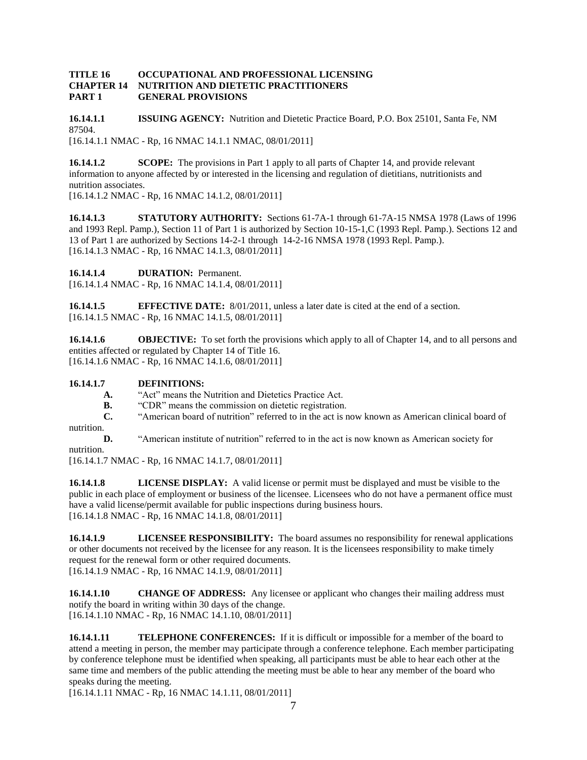#### **TITLE 16 OCCUPATIONAL AND PROFESSIONAL LICENSING CHAPTER 14 NUTRITION AND DIETETIC PRACTITIONERS PART 1 GENERAL PROVISIONS**

**16.14.1.1 ISSUING AGENCY:** Nutrition and Dietetic Practice Board, P.O. Box 25101, Santa Fe, NM 87504. [16.14.1.1 NMAC - Rp, 16 NMAC 14.1.1 NMAC, 08/01/2011]

**16.14.1.2 SCOPE:** The provisions in Part 1 apply to all parts of Chapter 14, and provide relevant information to anyone affected by or interested in the licensing and regulation of dietitians, nutritionists and nutrition associates.

[16.14.1.2 NMAC - Rp, 16 NMAC 14.1.2, 08/01/2011]

**16.14.1.3 STATUTORY AUTHORITY:** Sections 61-7A-1 through 61-7A-15 NMSA 1978 (Laws of 1996 and 1993 Repl. Pamp.), Section 11 of Part 1 is authorized by Section 10-15-1,C (1993 Repl. Pamp.). Sections 12 and 13 of Part 1 are authorized by Sections 14-2-1 through 14-2-16 NMSA 1978 (1993 Repl. Pamp.). [16.14.1.3 NMAC - Rp, 16 NMAC 14.1.3, 08/01/2011]

**16.14.1.4 DURATION:** Permanent.

[16.14.1.4 NMAC - Rp, 16 NMAC 14.1.4, 08/01/2011]

**16.14.1.5 EFFECTIVE DATE:** 8/01/2011, unless a later date is cited at the end of a section. [16.14.1.5 NMAC - Rp, 16 NMAC 14.1.5, 08/01/2011]

**16.14.1.6 OBJECTIVE:** To set forth the provisions which apply to all of Chapter 14, and to all persons and entities affected or regulated by Chapter 14 of Title 16. [16.14.1.6 NMAC - Rp, 16 NMAC 14.1.6, 08/01/2011]

#### **16.14.1.7 DEFINITIONS:**

- **A.** "Act" means the Nutrition and Dietetics Practice Act.
- **B.** "CDR" means the commission on dietetic registration.
- **C.** "American board of nutrition" referred to in the act is now known as American clinical board of nutrition.

**D.** "American institute of nutrition" referred to in the act is now known as American society for

nutrition.

[16.14.1.7 NMAC - Rp, 16 NMAC 14.1.7, 08/01/2011]

**16.14.1.8 LICENSE DISPLAY:** A valid license or permit must be displayed and must be visible to the public in each place of employment or business of the licensee. Licensees who do not have a permanent office must have a valid license/permit available for public inspections during business hours. [16.14.1.8 NMAC - Rp, 16 NMAC 14.1.8, 08/01/2011]

**16.14.1.9 LICENSEE RESPONSIBILITY:** The board assumes no responsibility for renewal applications or other documents not received by the licensee for any reason. It is the licensees responsibility to make timely request for the renewal form or other required documents. [16.14.1.9 NMAC - Rp, 16 NMAC 14.1.9, 08/01/2011]

**16.14.1.10 CHANGE OF ADDRESS:** Any licensee or applicant who changes their mailing address must notify the board in writing within 30 days of the change. [16.14.1.10 NMAC - Rp, 16 NMAC 14.1.10, 08/01/2011]

**16.14.1.11 TELEPHONE CONFERENCES:** If it is difficult or impossible for a member of the board to attend a meeting in person, the member may participate through a conference telephone. Each member participating by conference telephone must be identified when speaking, all participants must be able to hear each other at the same time and members of the public attending the meeting must be able to hear any member of the board who speaks during the meeting.

[16.14.1.11 NMAC - Rp, 16 NMAC 14.1.11, 08/01/2011]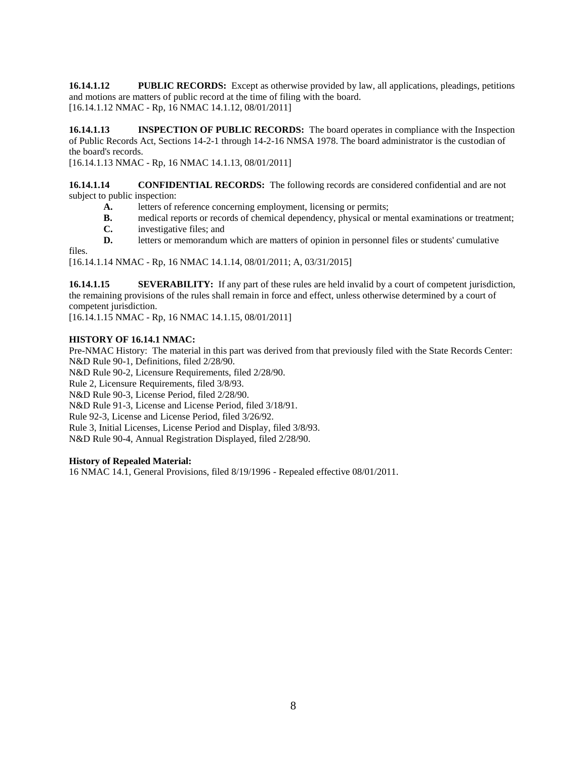**16.14.1.12 PUBLIC RECORDS:** Except as otherwise provided by law, all applications, pleadings, petitions and motions are matters of public record at the time of filing with the board. [16.14.1.12 NMAC - Rp, 16 NMAC 14.1.12, 08/01/2011]

**16.14.1.13 INSPECTION OF PUBLIC RECORDS:** The board operates in compliance with the Inspection of Public Records Act, Sections 14-2-1 through 14-2-16 NMSA 1978. The board administrator is the custodian of the board's records.

[16.14.1.13 NMAC - Rp, 16 NMAC 14.1.13, 08/01/2011]

**16.14.1.14 CONFIDENTIAL RECORDS:** The following records are considered confidential and are not subject to public inspection:

- **A.** letters of reference concerning employment, licensing or permits;
- **B.** medical reports or records of chemical dependency, physical or mental examinations or treatment;
- **C.** investigative files; and
- **D.** letters or memorandum which are matters of opinion in personnel files or students' cumulative

files.

[16.14.1.14 NMAC - Rp, 16 NMAC 14.1.14, 08/01/2011; A, 03/31/2015]

**16.14.1.15 SEVERABILITY:** If any part of these rules are held invalid by a court of competent jurisdiction, the remaining provisions of the rules shall remain in force and effect, unless otherwise determined by a court of competent jurisdiction.

[16.14.1.15 NMAC - Rp, 16 NMAC 14.1.15, 08/01/2011]

#### **HISTORY OF 16.14.1 NMAC:**

Pre-NMAC History: The material in this part was derived from that previously filed with the State Records Center: N&D Rule 90-1, Definitions, filed 2/28/90.

N&D Rule 90-2, Licensure Requirements, filed 2/28/90.

Rule 2, Licensure Requirements, filed 3/8/93.

N&D Rule 90-3, License Period, filed 2/28/90.

N&D Rule 91-3, License and License Period, filed 3/18/91.

Rule 92-3, License and License Period, filed 3/26/92.

Rule 3, Initial Licenses, License Period and Display, filed 3/8/93.

N&D Rule 90-4, Annual Registration Displayed, filed 2/28/90.

#### **History of Repealed Material:**

16 NMAC 14.1, General Provisions, filed 8/19/1996 - Repealed effective 08/01/2011.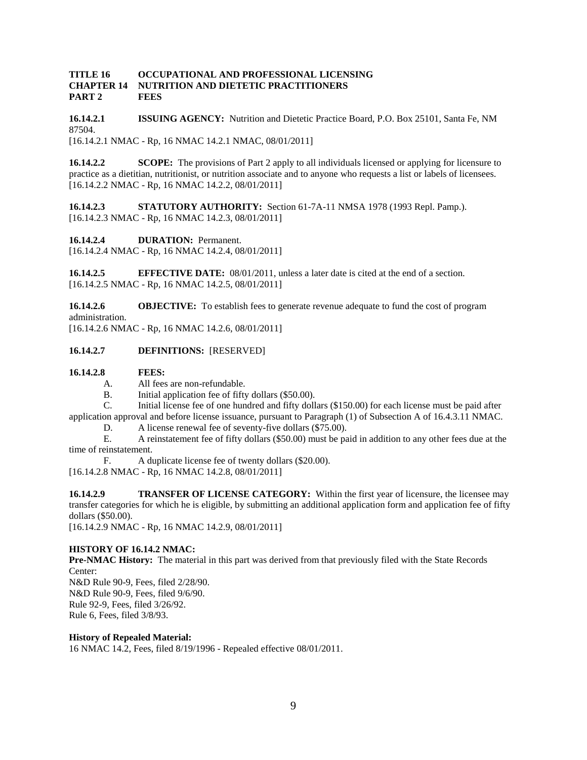#### **TITLE 16 OCCUPATIONAL AND PROFESSIONAL LICENSING CHAPTER 14 NUTRITION AND DIETETIC PRACTITIONERS PART 2 FEES**

**16.14.2.1 ISSUING AGENCY:** Nutrition and Dietetic Practice Board, P.O. Box 25101, Santa Fe, NM 87504. [16.14.2.1 NMAC - Rp, 16 NMAC 14.2.1 NMAC, 08/01/2011]

**16.14.2.2 SCOPE:** The provisions of Part 2 apply to all individuals licensed or applying for licensure to practice as a dietitian, nutritionist, or nutrition associate and to anyone who requests a list or labels of licensees. [16.14.2.2 NMAC - Rp, 16 NMAC 14.2.2, 08/01/2011]

**16.14.2.3 STATUTORY AUTHORITY:** Section 61-7A-11 NMSA 1978 (1993 Repl. Pamp.). [16.14.2.3 NMAC - Rp, 16 NMAC 14.2.3, 08/01/2011]

**16.14.2.4 DURATION:** Permanent.

[16.14.2.4 NMAC - Rp, 16 NMAC 14.2.4, 08/01/2011]

**16.14.2.5 EFFECTIVE DATE:** 08/01/2011, unless a later date is cited at the end of a section. [16.14.2.5 NMAC - Rp, 16 NMAC 14.2.5, 08/01/2011]

**16.14.2.6 OBJECTIVE:** To establish fees to generate revenue adequate to fund the cost of program administration.

[16.14.2.6 NMAC - Rp, 16 NMAC 14.2.6, 08/01/2011]

#### **16.14.2.7 DEFINITIONS:** [RESERVED]

#### **16.14.2.8 FEES:**

- A. All fees are non-refundable.
- B. Initial application fee of fifty dollars (\$50.00).
- C. Initial license fee of one hundred and fifty dollars (\$150.00) for each license must be paid after

application approval and before license issuance, pursuant to Paragraph (1) of Subsection A of 16.4.3.11 NMAC.

D. A license renewal fee of seventy-five dollars (\$75.00).

E. A reinstatement fee of fifty dollars (\$50.00) must be paid in addition to any other fees due at the time of reinstatement.

F. A duplicate license fee of twenty dollars (\$20.00).

[16.14.2.8 NMAC - Rp, 16 NMAC 14.2.8, 08/01/2011]

**16.14.2.9 TRANSFER OF LICENSE CATEGORY:** Within the first year of licensure, the licensee may transfer categories for which he is eligible, by submitting an additional application form and application fee of fifty dollars (\$50.00).

[16.14.2.9 NMAC - Rp, 16 NMAC 14.2.9, 08/01/2011]

#### **HISTORY OF 16.14.2 NMAC:**

**Pre-NMAC History:** The material in this part was derived from that previously filed with the State Records Center: N&D Rule 90-9, Fees, filed 2/28/90. N&D Rule 90-9, Fees, filed 9/6/90. Rule 92-9, Fees, filed 3/26/92.

Rule 6, Fees, filed 3/8/93.

#### **History of Repealed Material:**

16 NMAC 14.2, Fees, filed 8/19/1996 - Repealed effective 08/01/2011.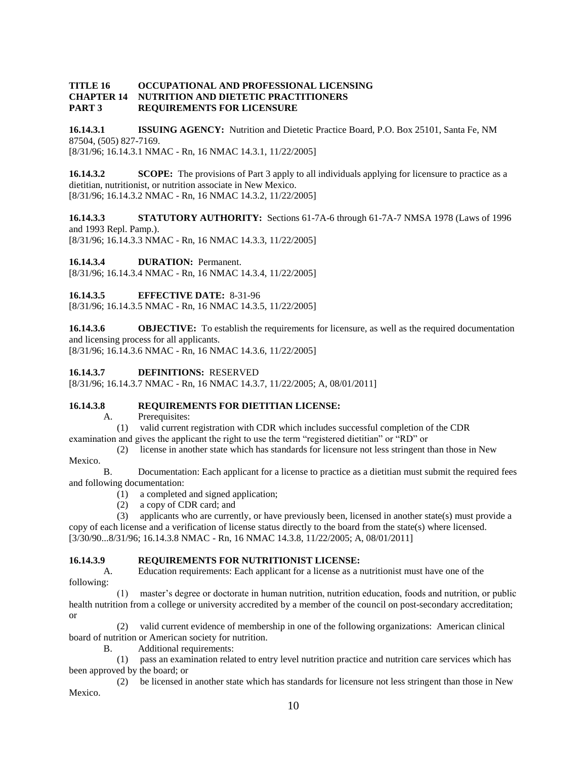#### **TITLE 16 OCCUPATIONAL AND PROFESSIONAL LICENSING CHAPTER 14 NUTRITION AND DIETETIC PRACTITIONERS PART 3 REQUIREMENTS FOR LICENSURE**

**16.14.3.1 ISSUING AGENCY:** Nutrition and Dietetic Practice Board, P.O. Box 25101, Santa Fe, NM 87504, (505) 827-7169. [8/31/96; 16.14.3.1 NMAC - Rn, 16 NMAC 14.3.1, 11/22/2005]

**16.14.3.2 SCOPE:** The provisions of Part 3 apply to all individuals applying for licensure to practice as a dietitian, nutritionist, or nutrition associate in New Mexico. [8/31/96; 16.14.3.2 NMAC - Rn, 16 NMAC 14.3.2, 11/22/2005]

**16.14.3.3 STATUTORY AUTHORITY:** Sections 61-7A-6 through 61-7A-7 NMSA 1978 (Laws of 1996 and 1993 Repl. Pamp.).

[8/31/96; 16.14.3.3 NMAC - Rn, 16 NMAC 14.3.3, 11/22/2005]

**16.14.3.4 DURATION:** Permanent.

[8/31/96; 16.14.3.4 NMAC - Rn, 16 NMAC 14.3.4, 11/22/2005]

**16.14.3.5 EFFECTIVE DATE:** 8-31-96

[8/31/96; 16.14.3.5 NMAC - Rn, 16 NMAC 14.3.5, 11/22/2005]

**16.14.3.6 OBJECTIVE:** To establish the requirements for licensure, as well as the required documentation and licensing process for all applicants.

[8/31/96; 16.14.3.6 NMAC - Rn, 16 NMAC 14.3.6, 11/22/2005]

#### **16.14.3.7 DEFINITIONS:** RESERVED

[8/31/96; 16.14.3.7 NMAC - Rn, 16 NMAC 14.3.7, 11/22/2005; A, 08/01/2011]

#### **16.14.3.8 REQUIREMENTS FOR DIETITIAN LICENSE:**

A. Prerequisites:

(1) valid current registration with CDR which includes successful completion of the CDR

examination and gives the applicant the right to use the term "registered dietitian" or "RD" or

 (2) license in another state which has standards for licensure not less stringent than those in New Mexico.

B. Documentation: Each applicant for a license to practice as a dietitian must submit the required fees and following documentation:

- (1) a completed and signed application;
- (2) a copy of CDR card; and

 (3) applicants who are currently, or have previously been, licensed in another state(s) must provide a copy of each license and a verification of license status directly to the board from the state(s) where licensed. [3/30/90...8/31/96; 16.14.3.8 NMAC - Rn, 16 NMAC 14.3.8, 11/22/2005; A, 08/01/2011]

#### **16.14.3.9 REQUIREMENTS FOR NUTRITIONIST LICENSE:**

A. Education requirements: Each applicant for a license as a nutritionist must have one of the following:

 (1) master's degree or doctorate in human nutrition, nutrition education, foods and nutrition, or public health nutrition from a college or university accredited by a member of the council on post-secondary accreditation; or

 (2) valid current evidence of membership in one of the following organizations: American clinical board of nutrition or American society for nutrition.

B. Additional requirements:

 (1) pass an examination related to entry level nutrition practice and nutrition care services which has been approved by the board; or

 (2) be licensed in another state which has standards for licensure not less stringent than those in New Mexico.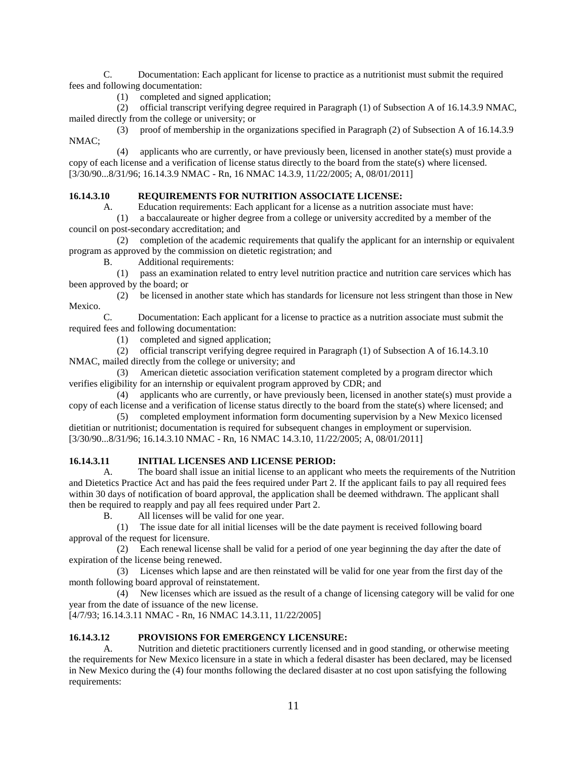C. Documentation: Each applicant for license to practice as a nutritionist must submit the required fees and following documentation:

(1) completed and signed application;

 (2) official transcript verifying degree required in Paragraph (1) of Subsection A of 16.14.3.9 NMAC, mailed directly from the college or university; or

 (3) proof of membership in the organizations specified in Paragraph (2) of Subsection A of 16.14.3.9 NMAC;

 (4) applicants who are currently, or have previously been, licensed in another state(s) must provide a copy of each license and a verification of license status directly to the board from the state(s) where licensed. [3/30/90...8/31/96; 16.14.3.9 NMAC - Rn, 16 NMAC 14.3.9, 11/22/2005; A, 08/01/2011]

#### **16.14.3.10 REQUIREMENTS FOR NUTRITION ASSOCIATE LICENSE:**

A. Education requirements: Each applicant for a license as a nutrition associate must have:

 (1) a baccalaureate or higher degree from a college or university accredited by a member of the council on post-secondary accreditation; and

 (2) completion of the academic requirements that qualify the applicant for an internship or equivalent program as approved by the commission on dietetic registration; and

B. Additional requirements:

 (1) pass an examination related to entry level nutrition practice and nutrition care services which has been approved by the board; or

 (2) be licensed in another state which has standards for licensure not less stringent than those in New Mexico.

C. Documentation: Each applicant for a license to practice as a nutrition associate must submit the required fees and following documentation:

(1) completed and signed application;

(2) official transcript verifying degree required in Paragraph (1) of Subsection A of 16.14.3.10

NMAC, mailed directly from the college or university; and

 (3) American dietetic association verification statement completed by a program director which verifies eligibility for an internship or equivalent program approved by CDR; and

 (4) applicants who are currently, or have previously been, licensed in another state(s) must provide a copy of each license and a verification of license status directly to the board from the state(s) where licensed; and

 (5) completed employment information form documenting supervision by a New Mexico licensed dietitian or nutritionist; documentation is required for subsequent changes in employment or supervision. [3/30/90...8/31/96; 16.14.3.10 NMAC - Rn, 16 NMAC 14.3.10, 11/22/2005; A, 08/01/2011]

#### **16.14.3.11 INITIAL LICENSES AND LICENSE PERIOD:**

A. The board shall issue an initial license to an applicant who meets the requirements of the Nutrition and Dietetics Practice Act and has paid the fees required under Part 2. If the applicant fails to pay all required fees within 30 days of notification of board approval, the application shall be deemed withdrawn. The applicant shall then be required to reapply and pay all fees required under Part 2.

B. All licenses will be valid for one year.

 (1) The issue date for all initial licenses will be the date payment is received following board approval of the request for licensure.

 (2) Each renewal license shall be valid for a period of one year beginning the day after the date of expiration of the license being renewed.

 (3) Licenses which lapse and are then reinstated will be valid for one year from the first day of the month following board approval of reinstatement.

 (4) New licenses which are issued as the result of a change of licensing category will be valid for one year from the date of issuance of the new license.

[4/7/93; 16.14.3.11 NMAC - Rn, 16 NMAC 14.3.11, 11/22/2005]

#### **16.14.3.12 PROVISIONS FOR EMERGENCY LICENSURE:**

A. Nutrition and dietetic practitioners currently licensed and in good standing, or otherwise meeting the requirements for New Mexico licensure in a state in which a federal disaster has been declared, may be licensed in New Mexico during the (4) four months following the declared disaster at no cost upon satisfying the following requirements: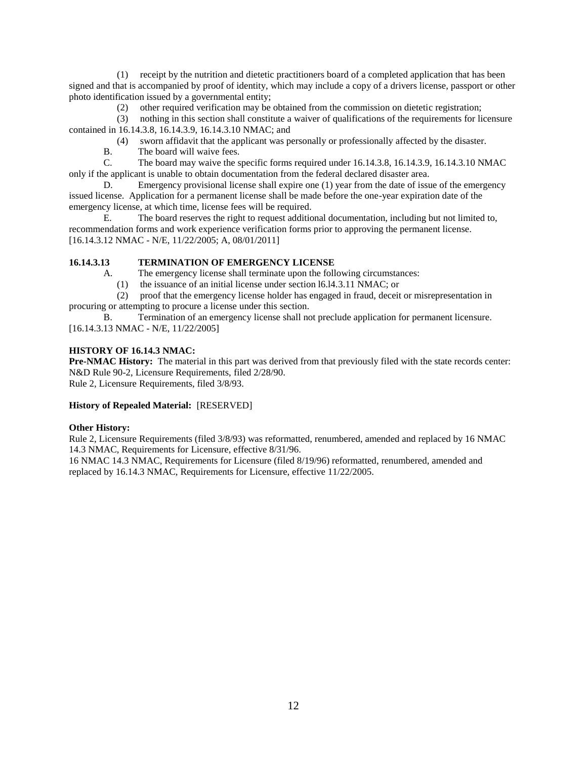(1) receipt by the nutrition and dietetic practitioners board of a completed application that has been signed and that is accompanied by proof of identity, which may include a copy of a drivers license, passport or other photo identification issued by a governmental entity;

(2) other required verification may be obtained from the commission on dietetic registration;

 (3) nothing in this section shall constitute a waiver of qualifications of the requirements for licensure contained in 16.14.3.8, 16.14.3.9, 16.14.3.10 NMAC; and

- (4) sworn affidavit that the applicant was personally or professionally affected by the disaster.
- B. The board will waive fees.

C. The board may waive the specific forms required under 16.14.3.8, 16.14.3.9, 16.14.3.10 NMAC only if the applicant is unable to obtain documentation from the federal declared disaster area.

D. Emergency provisional license shall expire one (1) year from the date of issue of the emergency issued license. Application for a permanent license shall be made before the one-year expiration date of the emergency license, at which time, license fees will be required.

E. The board reserves the right to request additional documentation, including but not limited to, recommendation forms and work experience verification forms prior to approving the permanent license. [16.14.3.12 NMAC - N/E, 11/22/2005; A, 08/01/2011]

#### **16.14.3.13 TERMINATION OF EMERGENCY LICENSE**

A. The emergency license shall terminate upon the following circumstances:

(1) the issuance of an initial license under section l6.l4.3.11 NMAC; or

 (2) proof that the emergency license holder has engaged in fraud, deceit or misrepresentation in procuring or attempting to procure a license under this section.

B. Termination of an emergency license shall not preclude application for permanent licensure. [16.14.3.13 NMAC - N/E, 11/22/2005]

#### **HISTORY OF 16.14.3 NMAC:**

**Pre-NMAC History:** The material in this part was derived from that previously filed with the state records center: N&D Rule 90-2, Licensure Requirements, filed 2/28/90.

Rule 2, Licensure Requirements, filed 3/8/93.

#### **History of Repealed Material:** [RESERVED]

#### **Other History:**

Rule 2, Licensure Requirements (filed 3/8/93) was reformatted, renumbered, amended and replaced by 16 NMAC 14.3 NMAC, Requirements for Licensure, effective 8/31/96.

16 NMAC 14.3 NMAC, Requirements for Licensure (filed 8/19/96) reformatted, renumbered, amended and replaced by 16.14.3 NMAC, Requirements for Licensure, effective 11/22/2005.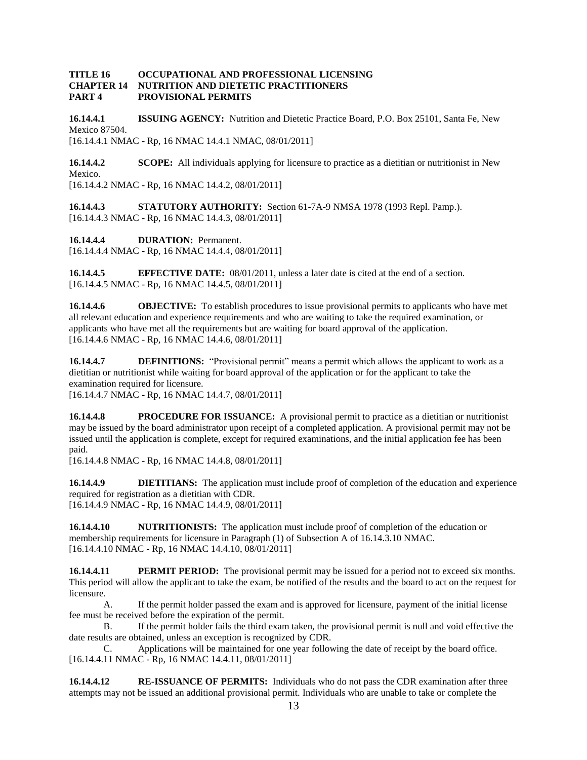#### **TITLE 16 OCCUPATIONAL AND PROFESSIONAL LICENSING CHAPTER 14 NUTRITION AND DIETETIC PRACTITIONERS PART 4 PROVISIONAL PERMITS**

**16.14.4.1 ISSUING AGENCY:** Nutrition and Dietetic Practice Board, P.O. Box 25101, Santa Fe, New Mexico 87504. [16.14.4.1 NMAC - Rp, 16 NMAC 14.4.1 NMAC, 08/01/2011]

**16.14.4.2 SCOPE:** All individuals applying for licensure to practice as a dietitian or nutritionist in New Mexico. [16.14.4.2 NMAC - Rp, 16 NMAC 14.4.2, 08/01/2011]

**16.14.4.3 STATUTORY AUTHORITY:** Section 61-7A-9 NMSA 1978 (1993 Repl. Pamp.). [16.14.4.3 NMAC - Rp, 16 NMAC 14.4.3, 08/01/2011]

**16.14.4.4 DURATION:** Permanent. [16.14.4.4 NMAC - Rp, 16 NMAC 14.4.4, 08/01/2011]

**16.14.4.5 EFFECTIVE DATE:** 08/01/2011, unless a later date is cited at the end of a section. [16.14.4.5 NMAC - Rp, 16 NMAC 14.4.5, 08/01/2011]

**16.14.4.6 OBJECTIVE:** To establish procedures to issue provisional permits to applicants who have met all relevant education and experience requirements and who are waiting to take the required examination, or applicants who have met all the requirements but are waiting for board approval of the application. [16.14.4.6 NMAC - Rp, 16 NMAC 14.4.6, 08/01/2011]

**16.14.4.7 DEFINITIONS:** "Provisional permit" means a permit which allows the applicant to work as a dietitian or nutritionist while waiting for board approval of the application or for the applicant to take the examination required for licensure.

[16.14.4.7 NMAC - Rp, 16 NMAC 14.4.7, 08/01/2011]

**16.14.4.8 PROCEDURE FOR ISSUANCE:** A provisional permit to practice as a dietitian or nutritionist may be issued by the board administrator upon receipt of a completed application. A provisional permit may not be issued until the application is complete, except for required examinations, and the initial application fee has been paid.

[16.14.4.8 NMAC - Rp, 16 NMAC 14.4.8, 08/01/2011]

**16.14.4.9 DIETITIANS:** The application must include proof of completion of the education and experience required for registration as a dietitian with CDR. [16.14.4.9 NMAC - Rp, 16 NMAC 14.4.9, 08/01/2011]

**16.14.4.10 NUTRITIONISTS:** The application must include proof of completion of the education or membership requirements for licensure in Paragraph (1) of Subsection A of 16.14.3.10 NMAC. [16.14.4.10 NMAC - Rp, 16 NMAC 14.4.10, 08/01/2011]

**16.14.4.11 PERMIT PERIOD:** The provisional permit may be issued for a period not to exceed six months. This period will allow the applicant to take the exam, be notified of the results and the board to act on the request for licensure.

A. If the permit holder passed the exam and is approved for licensure, payment of the initial license fee must be received before the expiration of the permit.

B. If the permit holder fails the third exam taken, the provisional permit is null and void effective the date results are obtained, unless an exception is recognized by CDR.

C. Applications will be maintained for one year following the date of receipt by the board office. [16.14.4.11 NMAC - Rp, 16 NMAC 14.4.11, 08/01/2011]

**16.14.4.12 RE-ISSUANCE OF PERMITS:** Individuals who do not pass the CDR examination after three attempts may not be issued an additional provisional permit. Individuals who are unable to take or complete the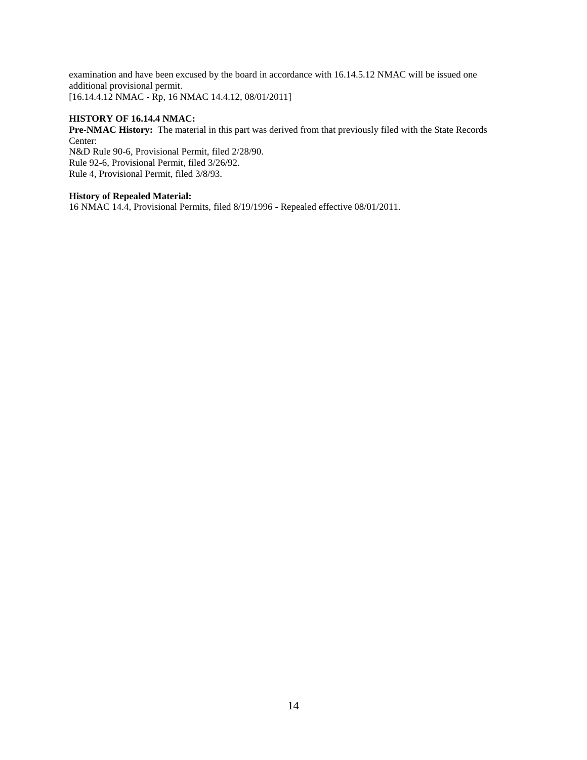examination and have been excused by the board in accordance with 16.14.5.12 NMAC will be issued one additional provisional permit. [16.14.4.12 NMAC - Rp, 16 NMAC 14.4.12, 08/01/2011]

#### **HISTORY OF 16.14.4 NMAC:**

**Pre-NMAC History:** The material in this part was derived from that previously filed with the State Records Center:

N&D Rule 90-6, Provisional Permit, filed 2/28/90. Rule 92-6, Provisional Permit, filed 3/26/92. Rule 4, Provisional Permit, filed 3/8/93.

#### **History of Repealed Material:**

16 NMAC 14.4, Provisional Permits, filed 8/19/1996 - Repealed effective 08/01/2011.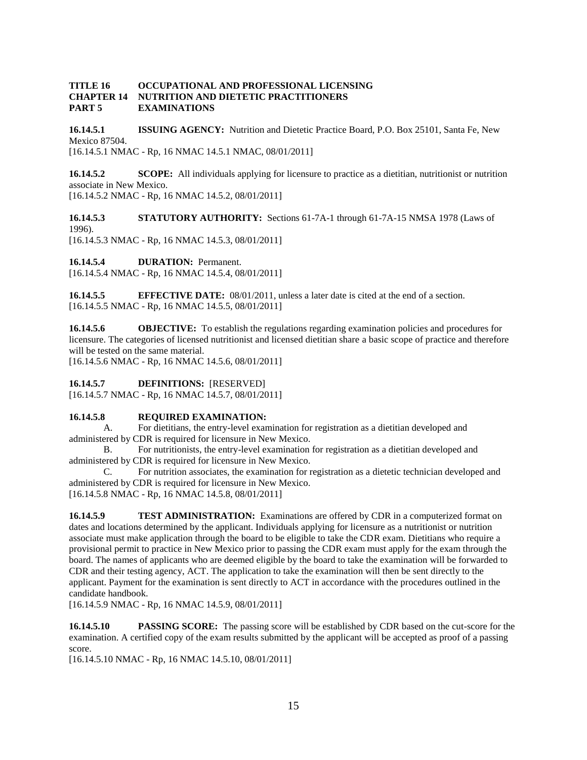#### **TITLE 16 OCCUPATIONAL AND PROFESSIONAL LICENSING CHAPTER 14 NUTRITION AND DIETETIC PRACTITIONERS PART 5 EXAMINATIONS**

**16.14.5.1 ISSUING AGENCY:** Nutrition and Dietetic Practice Board, P.O. Box 25101, Santa Fe, New Mexico 87504. [16.14.5.1 NMAC - Rp, 16 NMAC 14.5.1 NMAC, 08/01/2011]

**16.14.5.2 SCOPE:** All individuals applying for licensure to practice as a dietitian, nutritionist or nutrition associate in New Mexico.

[16.14.5.2 NMAC - Rp, 16 NMAC 14.5.2, 08/01/2011]

**16.14.5.3 STATUTORY AUTHORITY:** Sections 61-7A-1 through 61-7A-15 NMSA 1978 (Laws of 1996).

[16.14.5.3 NMAC - Rp, 16 NMAC 14.5.3, 08/01/2011]

**16.14.5.4 DURATION:** Permanent.

[16.14.5.4 NMAC - Rp, 16 NMAC 14.5.4, 08/01/2011]

**16.14.5.5 EFFECTIVE DATE:** 08/01/2011, unless a later date is cited at the end of a section. [16.14.5.5 NMAC - Rp, 16 NMAC 14.5.5, 08/01/2011]

**16.14.5.6 OBJECTIVE:** To establish the regulations regarding examination policies and procedures for licensure. The categories of licensed nutritionist and licensed dietitian share a basic scope of practice and therefore will be tested on the same material.

[16.14.5.6 NMAC - Rp, 16 NMAC 14.5.6, 08/01/2011]

#### **16.14.5.7 DEFINITIONS:** [RESERVED]

[16.14.5.7 NMAC - Rp, 16 NMAC 14.5.7, 08/01/2011]

#### **16.14.5.8 REQUIRED EXAMINATION:**

A. For dietitians, the entry-level examination for registration as a dietitian developed and administered by CDR is required for licensure in New Mexico.

B. For nutritionists, the entry-level examination for registration as a dietitian developed and administered by CDR is required for licensure in New Mexico.

C. For nutrition associates, the examination for registration as a dietetic technician developed and administered by CDR is required for licensure in New Mexico.

[16.14.5.8 NMAC - Rp, 16 NMAC 14.5.8, 08/01/2011]

**16.14.5.9 TEST ADMINISTRATION:** Examinations are offered by CDR in a computerized format on dates and locations determined by the applicant. Individuals applying for licensure as a nutritionist or nutrition associate must make application through the board to be eligible to take the CDR exam. Dietitians who require a provisional permit to practice in New Mexico prior to passing the CDR exam must apply for the exam through the board. The names of applicants who are deemed eligible by the board to take the examination will be forwarded to CDR and their testing agency, ACT. The application to take the examination will then be sent directly to the applicant. Payment for the examination is sent directly to ACT in accordance with the procedures outlined in the candidate handbook.

[16.14.5.9 NMAC - Rp, 16 NMAC 14.5.9, 08/01/2011]

**16.14.5.10 PASSING SCORE:** The passing score will be established by CDR based on the cut-score for the examination. A certified copy of the exam results submitted by the applicant will be accepted as proof of a passing score.

[16.14.5.10 NMAC - Rp, 16 NMAC 14.5.10, 08/01/2011]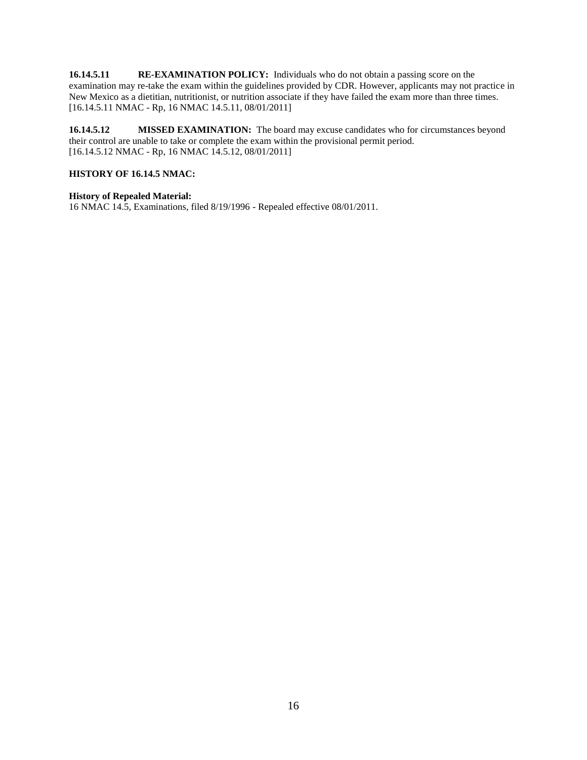**16.14.5.11 RE-EXAMINATION POLICY:** Individuals who do not obtain a passing score on the examination may re-take the exam within the guidelines provided by CDR. However, applicants may not practice in New Mexico as a dietitian, nutritionist, or nutrition associate if they have failed the exam more than three times. [16.14.5.11 NMAC - Rp, 16 NMAC 14.5.11, 08/01/2011]

**16.14.5.12 MISSED EXAMINATION:** The board may excuse candidates who for circumstances beyond their control are unable to take or complete the exam within the provisional permit period. [16.14.5.12 NMAC - Rp, 16 NMAC 14.5.12, 08/01/2011]

#### **HISTORY OF 16.14.5 NMAC:**

#### **History of Repealed Material:**

16 NMAC 14.5, Examinations, filed 8/19/1996 - Repealed effective 08/01/2011.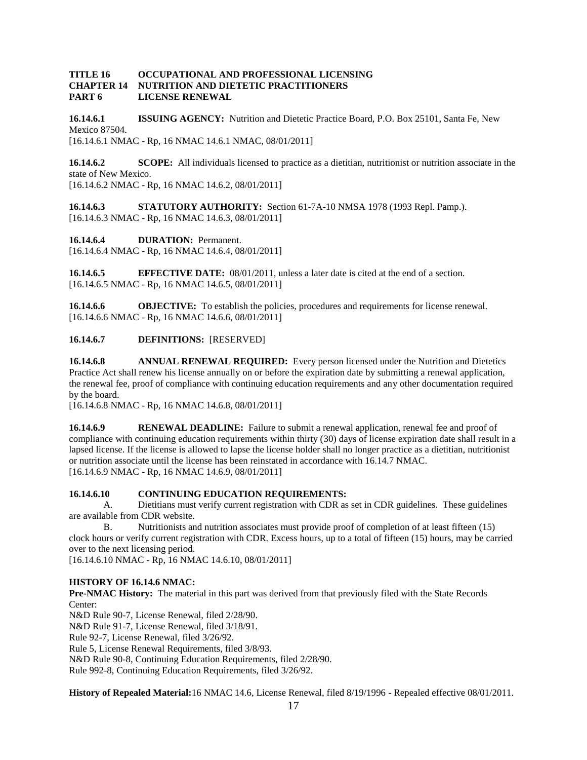#### **TITLE 16 OCCUPATIONAL AND PROFESSIONAL LICENSING CHAPTER 14 NUTRITION AND DIETETIC PRACTITIONERS PART 6 LICENSE RENEWAL**

**16.14.6.1 ISSUING AGENCY:** Nutrition and Dietetic Practice Board, P.O. Box 25101, Santa Fe, New Mexico 87504. [16.14.6.1 NMAC - Rp, 16 NMAC 14.6.1 NMAC, 08/01/2011]

**16.14.6.2 SCOPE:** All individuals licensed to practice as a dietitian, nutritionist or nutrition associate in the state of New Mexico. [16.14.6.2 NMAC - Rp, 16 NMAC 14.6.2, 08/01/2011]

**16.14.6.3 STATUTORY AUTHORITY:** Section 61-7A-10 NMSA 1978 (1993 Repl. Pamp.). [16.14.6.3 NMAC - Rp, 16 NMAC 14.6.3, 08/01/2011]

**16.14.6.4 DURATION:** Permanent. [16.14.6.4 NMAC - Rp, 16 NMAC 14.6.4, 08/01/2011]

**16.14.6.5 EFFECTIVE DATE:** 08/01/2011, unless a later date is cited at the end of a section. [16.14.6.5 NMAC - Rp, 16 NMAC 14.6.5, 08/01/2011]

**16.14.6.6 OBJECTIVE:** To establish the policies, procedures and requirements for license renewal. [16.14.6.6 NMAC - Rp, 16 NMAC 14.6.6, 08/01/2011]

**16.14.6.7 DEFINITIONS:** [RESERVED]

**16.14.6.8 ANNUAL RENEWAL REQUIRED:** Every person licensed under the Nutrition and Dietetics Practice Act shall renew his license annually on or before the expiration date by submitting a renewal application, the renewal fee, proof of compliance with continuing education requirements and any other documentation required by the board.

[16.14.6.8 NMAC - Rp, 16 NMAC 14.6.8, 08/01/2011]

**16.14.6.9 RENEWAL DEADLINE:** Failure to submit a renewal application, renewal fee and proof of compliance with continuing education requirements within thirty (30) days of license expiration date shall result in a lapsed license. If the license is allowed to lapse the license holder shall no longer practice as a dietitian, nutritionist or nutrition associate until the license has been reinstated in accordance with 16.14.7 NMAC. [16.14.6.9 NMAC - Rp, 16 NMAC 14.6.9, 08/01/2011]

#### **16.14.6.10 CONTINUING EDUCATION REQUIREMENTS:**

A. Dietitians must verify current registration with CDR as set in CDR guidelines. These guidelines are available from CDR website.

B. Nutritionists and nutrition associates must provide proof of completion of at least fifteen (15) clock hours or verify current registration with CDR. Excess hours, up to a total of fifteen (15) hours, may be carried over to the next licensing period.

[16.14.6.10 NMAC - Rp, 16 NMAC 14.6.10, 08/01/2011]

#### **HISTORY OF 16.14.6 NMAC:**

**Pre-NMAC History:** The material in this part was derived from that previously filed with the State Records Center:

N&D Rule 90-7, License Renewal, filed 2/28/90.

N&D Rule 91-7, License Renewal, filed 3/18/91.

Rule 92-7, License Renewal, filed 3/26/92.

Rule 5, License Renewal Requirements, filed 3/8/93.

N&D Rule 90-8, Continuing Education Requirements, filed 2/28/90.

Rule 992-8, Continuing Education Requirements, filed 3/26/92.

**History of Repealed Material:**16 NMAC 14.6, License Renewal, filed 8/19/1996 - Repealed effective 08/01/2011.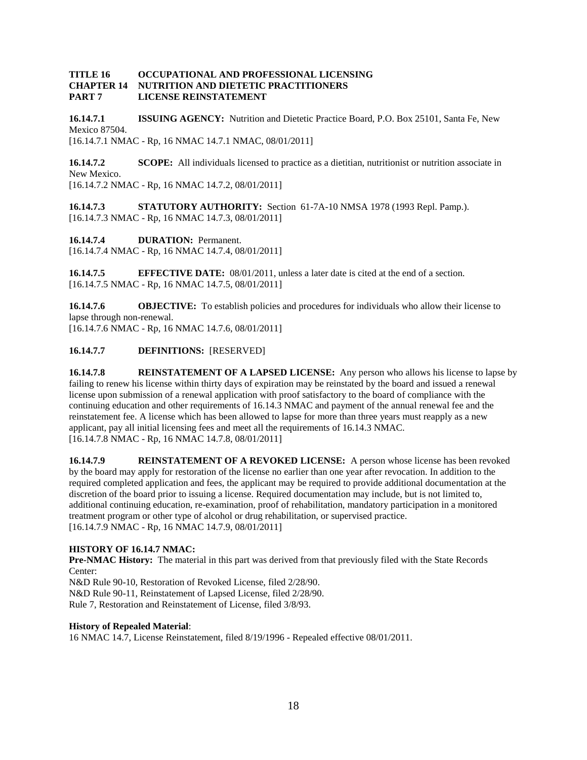#### **TITLE 16 OCCUPATIONAL AND PROFESSIONAL LICENSING CHAPTER 14 NUTRITION AND DIETETIC PRACTITIONERS PART 7 LICENSE REINSTATEMENT**

**16.14.7.1 ISSUING AGENCY:** Nutrition and Dietetic Practice Board, P.O. Box 25101, Santa Fe, New Mexico 87504. [16.14.7.1 NMAC - Rp, 16 NMAC 14.7.1 NMAC, 08/01/2011]

**16.14.7.2 SCOPE:** All individuals licensed to practice as a dietitian, nutritionist or nutrition associate in New Mexico. [16.14.7.2 NMAC - Rp, 16 NMAC 14.7.2, 08/01/2011]

**16.14.7.3 STATUTORY AUTHORITY:** Section 61-7A-10 NMSA 1978 (1993 Repl. Pamp.). [16.14.7.3 NMAC - Rp, 16 NMAC 14.7.3, 08/01/2011]

**16.14.7.4 DURATION:** Permanent. [16.14.7.4 NMAC - Rp, 16 NMAC 14.7.4, 08/01/2011]

**16.14.7.5 EFFECTIVE DATE:** 08/01/2011, unless a later date is cited at the end of a section. [16.14.7.5 NMAC - Rp, 16 NMAC 14.7.5, 08/01/2011]

**16.14.7.6 OBJECTIVE:** To establish policies and procedures for individuals who allow their license to lapse through non-renewal. [16.14.7.6 NMAC - Rp, 16 NMAC 14.7.6, 08/01/2011]

#### **16.14.7.7 DEFINITIONS:** [RESERVED]

**16.14.7.8 REINSTATEMENT OF A LAPSED LICENSE:** Any person who allows his license to lapse by failing to renew his license within thirty days of expiration may be reinstated by the board and issued a renewal license upon submission of a renewal application with proof satisfactory to the board of compliance with the continuing education and other requirements of 16.14.3 NMAC and payment of the annual renewal fee and the reinstatement fee. A license which has been allowed to lapse for more than three years must reapply as a new applicant, pay all initial licensing fees and meet all the requirements of 16.14.3 NMAC. [16.14.7.8 NMAC - Rp, 16 NMAC 14.7.8, 08/01/2011]

**16.14.7.9 REINSTATEMENT OF A REVOKED LICENSE:** A person whose license has been revoked by the board may apply for restoration of the license no earlier than one year after revocation. In addition to the required completed application and fees, the applicant may be required to provide additional documentation at the discretion of the board prior to issuing a license. Required documentation may include, but is not limited to, additional continuing education, re-examination, proof of rehabilitation, mandatory participation in a monitored treatment program or other type of alcohol or drug rehabilitation, or supervised practice. [16.14.7.9 NMAC - Rp, 16 NMAC 14.7.9, 08/01/2011]

#### **HISTORY OF 16.14.7 NMAC:**

**Pre-NMAC History:** The material in this part was derived from that previously filed with the State Records Center:

N&D Rule 90-10, Restoration of Revoked License, filed 2/28/90. N&D Rule 90-11, Reinstatement of Lapsed License, filed 2/28/90. Rule 7, Restoration and Reinstatement of License, filed 3/8/93.

#### **History of Repealed Material**:

16 NMAC 14.7, License Reinstatement, filed 8/19/1996 - Repealed effective 08/01/2011.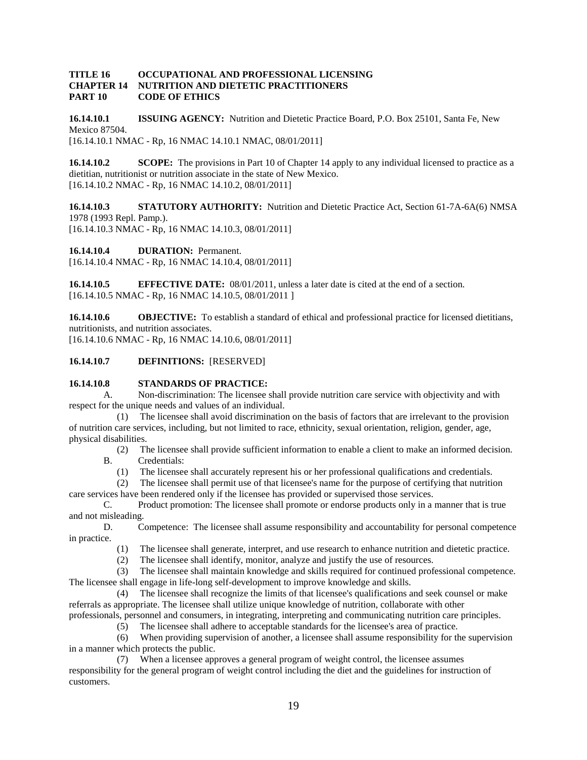#### **TITLE 16 OCCUPATIONAL AND PROFESSIONAL LICENSING CHAPTER 14 NUTRITION AND DIETETIC PRACTITIONERS PART 10 CODE OF ETHICS**

**16.14.10.1 ISSUING AGENCY:** Nutrition and Dietetic Practice Board, P.O. Box 25101, Santa Fe, New Mexico 87504. [16.14.10.1 NMAC - Rp, 16 NMAC 14.10.1 NMAC, 08/01/2011]

**16.14.10.2 SCOPE:** The provisions in Part 10 of Chapter 14 apply to any individual licensed to practice as a dietitian, nutritionist or nutrition associate in the state of New Mexico. [16.14.10.2 NMAC - Rp, 16 NMAC 14.10.2, 08/01/2011]

**16.14.10.3 STATUTORY AUTHORITY:** Nutrition and Dietetic Practice Act, Section 61-7A-6A(6) NMSA 1978 (1993 Repl. Pamp.).

[16.14.10.3 NMAC - Rp, 16 NMAC 14.10.3, 08/01/2011]

**16.14.10.4 DURATION:** Permanent.

[16.14.10.4 NMAC - Rp, 16 NMAC 14.10.4, 08/01/2011]

**16.14.10.5 EFFECTIVE DATE:** 08/01/2011, unless a later date is cited at the end of a section. [16.14.10.5 NMAC - Rp, 16 NMAC 14.10.5, 08/01/2011 ]

**16.14.10.6 OBJECTIVE:** To establish a standard of ethical and professional practice for licensed dietitians, nutritionists, and nutrition associates.

[16.14.10.6 NMAC - Rp, 16 NMAC 14.10.6, 08/01/2011]

#### **16.14.10.7 DEFINITIONS:** [RESERVED]

#### **16.14.10.8 STANDARDS OF PRACTICE:**

A. Non-discrimination: The licensee shall provide nutrition care service with objectivity and with respect for the unique needs and values of an individual.

 (1) The licensee shall avoid discrimination on the basis of factors that are irrelevant to the provision of nutrition care services, including, but not limited to race, ethnicity, sexual orientation, religion, gender, age, physical disabilities.

 (2) The licensee shall provide sufficient information to enable a client to make an informed decision. B. Credentials:

(1) The licensee shall accurately represent his or her professional qualifications and credentials.

 (2) The licensee shall permit use of that licensee's name for the purpose of certifying that nutrition care services have been rendered only if the licensee has provided or supervised those services.

C. Product promotion: The licensee shall promote or endorse products only in a manner that is true and not misleading.

D. Competence: The licensee shall assume responsibility and accountability for personal competence in practice.

- (1) The licensee shall generate, interpret, and use research to enhance nutrition and dietetic practice.
- (2) The licensee shall identify, monitor, analyze and justify the use of resources.

 (3) The licensee shall maintain knowledge and skills required for continued professional competence. The licensee shall engage in life-long self-development to improve knowledge and skills.

 (4) The licensee shall recognize the limits of that licensee's qualifications and seek counsel or make referrals as appropriate. The licensee shall utilize unique knowledge of nutrition, collaborate with other professionals, personnel and consumers, in integrating, interpreting and communicating nutrition care principles.

(5) The licensee shall adhere to acceptable standards for the licensee's area of practice.

 (6) When providing supervision of another, a licensee shall assume responsibility for the supervision in a manner which protects the public.

 (7) When a licensee approves a general program of weight control, the licensee assumes responsibility for the general program of weight control including the diet and the guidelines for instruction of customers.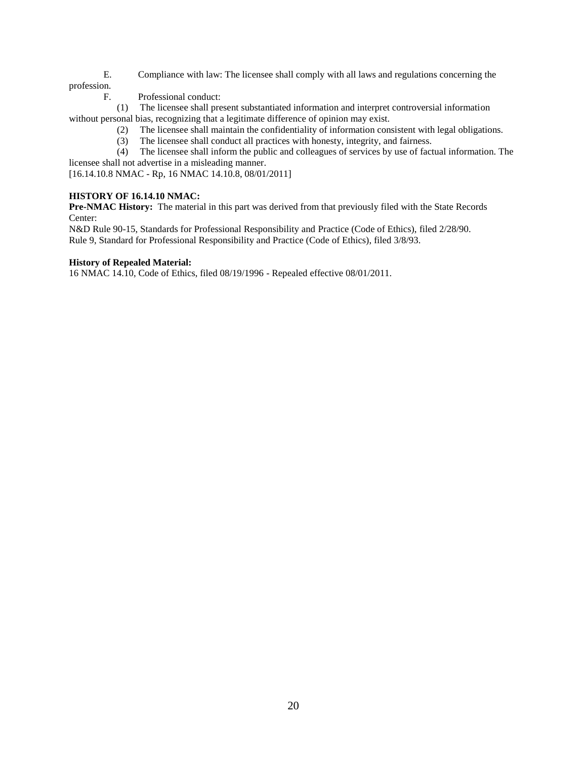- E. Compliance with law: The licensee shall comply with all laws and regulations concerning the profession.
	- F. Professional conduct:

 (1) The licensee shall present substantiated information and interpret controversial information without personal bias, recognizing that a legitimate difference of opinion may exist.

- (2) The licensee shall maintain the confidentiality of information consistent with legal obligations.
- (3) The licensee shall conduct all practices with honesty, integrity, and fairness.
- (4) The licensee shall inform the public and colleagues of services by use of factual information. The licensee shall not advertise in a misleading manner.

[16.14.10.8 NMAC - Rp, 16 NMAC 14.10.8, 08/01/2011]

#### **HISTORY OF 16.14.10 NMAC:**

**Pre-NMAC History:** The material in this part was derived from that previously filed with the State Records Center:

N&D Rule 90-15, Standards for Professional Responsibility and Practice (Code of Ethics), filed 2/28/90. Rule 9, Standard for Professional Responsibility and Practice (Code of Ethics), filed 3/8/93.

#### **History of Repealed Material:**

16 NMAC 14.10, Code of Ethics, filed 08/19/1996 - Repealed effective 08/01/2011.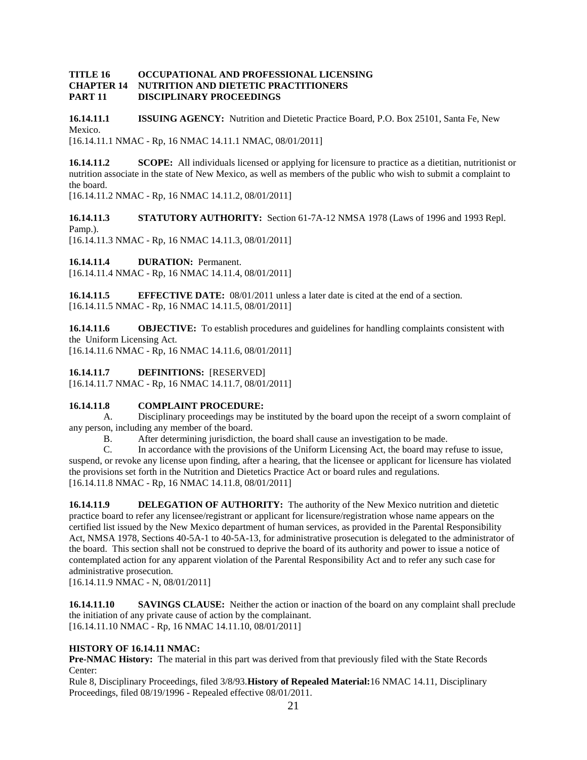#### **TITLE 16 OCCUPATIONAL AND PROFESSIONAL LICENSING CHAPTER 14 NUTRITION AND DIETETIC PRACTITIONERS PART 11 DISCIPLINARY PROCEEDINGS**

**16.14.11.1 ISSUING AGENCY:** Nutrition and Dietetic Practice Board, P.O. Box 25101, Santa Fe, New Mexico. [16.14.11.1 NMAC - Rp, 16 NMAC 14.11.1 NMAC, 08/01/2011]

**16.14.11.2 SCOPE:** All individuals licensed or applying for licensure to practice as a dietitian, nutritionist or nutrition associate in the state of New Mexico, as well as members of the public who wish to submit a complaint to the board.

[16.14.11.2 NMAC - Rp, 16 NMAC 14.11.2, 08/01/2011]

**16.14.11.3 STATUTORY AUTHORITY:** Section 61-7A-12 NMSA 1978 (Laws of 1996 and 1993 Repl. Pamp.).

[16.14.11.3 NMAC - Rp, 16 NMAC 14.11.3, 08/01/2011]

**16.14.11.4 DURATION:** Permanent.

[16.14.11.4 NMAC - Rp, 16 NMAC 14.11.4, 08/01/2011]

**16.14.11.5 EFFECTIVE DATE:** 08/01/2011 unless a later date is cited at the end of a section. [16.14.11.5 NMAC - Rp, 16 NMAC 14.11.5, 08/01/2011]

**16.14.11.6 OBJECTIVE:** To establish procedures and guidelines for handling complaints consistent with the Uniform Licensing Act.

[16.14.11.6 NMAC - Rp, 16 NMAC 14.11.6, 08/01/2011]

**16.14.11.7 DEFINITIONS:** [RESERVED]

[16.14.11.7 NMAC - Rp, 16 NMAC 14.11.7, 08/01/2011]

#### **16.14.11.8 COMPLAINT PROCEDURE:**

A. Disciplinary proceedings may be instituted by the board upon the receipt of a sworn complaint of any person, including any member of the board.

B. After determining jurisdiction, the board shall cause an investigation to be made.

C. In accordance with the provisions of the Uniform Licensing Act, the board may refuse to issue, suspend, or revoke any license upon finding, after a hearing, that the licensee or applicant for licensure has violated the provisions set forth in the Nutrition and Dietetics Practice Act or board rules and regulations. [16.14.11.8 NMAC - Rp, 16 NMAC 14.11.8, 08/01/2011]

**16.14.11.9 DELEGATION OF AUTHORITY:** The authority of the New Mexico nutrition and dietetic practice board to refer any licensee/registrant or applicant for licensure/registration whose name appears on the certified list issued by the New Mexico department of human services, as provided in the Parental Responsibility Act, NMSA 1978, Sections 40-5A-1 to 40-5A-13, for administrative prosecution is delegated to the administrator of the board. This section shall not be construed to deprive the board of its authority and power to issue a notice of contemplated action for any apparent violation of the Parental Responsibility Act and to refer any such case for administrative prosecution.

[16.14.11.9 NMAC - N, 08/01/2011]

**16.14.11.10 SAVINGS CLAUSE:** Neither the action or inaction of the board on any complaint shall preclude the initiation of any private cause of action by the complainant. [16.14.11.10 NMAC - Rp, 16 NMAC 14.11.10, 08/01/2011]

#### **HISTORY OF 16.14.11 NMAC:**

**Pre-NMAC History:** The material in this part was derived from that previously filed with the State Records Center:

Rule 8, Disciplinary Proceedings, filed 3/8/93.**History of Repealed Material:**16 NMAC 14.11, Disciplinary Proceedings, filed 08/19/1996 - Repealed effective 08/01/2011.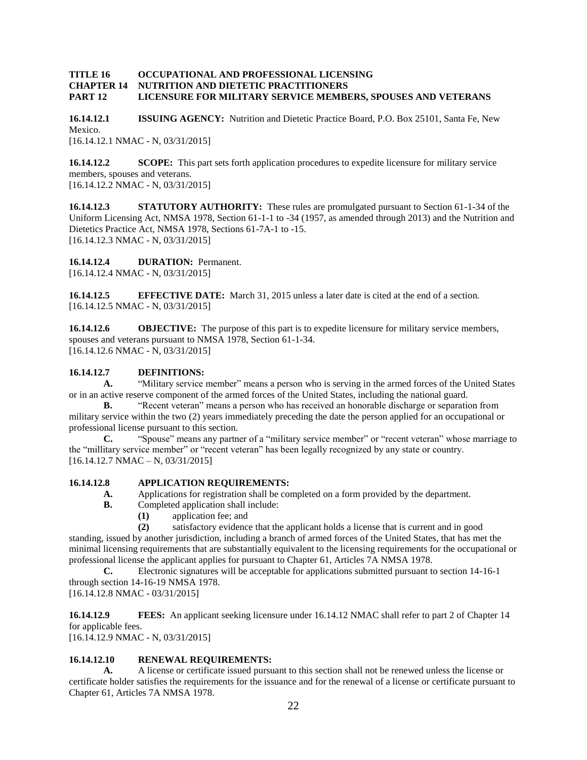#### **TITLE 16 OCCUPATIONAL AND PROFESSIONAL LICENSING CHAPTER 14 NUTRITION AND DIETETIC PRACTITIONERS PART 12 LICENSURE FOR MILITARY SERVICE MEMBERS, SPOUSES AND VETERANS**

**16.14.12.1 ISSUING AGENCY:** Nutrition and Dietetic Practice Board, P.O. Box 25101, Santa Fe, New Mexico. [16.14.12.1 NMAC - N, 03/31/2015]

**16.14.12.2 SCOPE:** This part sets forth application procedures to expedite licensure for military service members, spouses and veterans. [16.14.12.2 NMAC - N, 03/31/2015]

**16.14.12.3 STATUTORY AUTHORITY:** These rules are promulgated pursuant to Section 61-1-34 of the Uniform Licensing Act, NMSA 1978, Section 61-1-1 to -34 (1957, as amended through 2013) and the Nutrition and Dietetics Practice Act, NMSA 1978, Sections 61-7A-1 to -15. [16.14.12.3 NMAC - N, 03/31/2015]

**16.14.12.4 DURATION:** Permanent.

[16.14.12.4 NMAC - N, 03/31/2015]

**16.14.12.5 EFFECTIVE DATE:** March 31, 2015 unless a later date is cited at the end of a section. [16.14.12.5 NMAC - N, 03/31/2015]

**16.14.12.6 OBJECTIVE:** The purpose of this part is to expedite licensure for military service members, spouses and veterans pursuant to NMSA 1978, Section 61-1-34. [16.14.12.6 NMAC - N, 03/31/2015]

#### **16.14.12.7 DEFINITIONS:**

**A.** "Military service member" means a person who is serving in the armed forces of the United States or in an active reserve component of the armed forces of the United States, including the national guard.

**B.** "Recent veteran" means a person who has received an honorable discharge or separation from military service within the two (2) years immediately preceding the date the person applied for an occupational or professional license pursuant to this section.

**C.** "Spouse" means any partner of a "military service member" or "recent veteran" whose marriage to the "millitary service member" or "recent veteran" has been legally recognized by any state or country. [16.14.12.7 NMAC – N, 03/31/2015]

#### **16.14.12.8 APPLICATION REQUIREMENTS:**

- **A.** Applications for registration shall be completed on a form provided by the department.
- **B.** Completed application shall include:
	- **(1)** application fee; and

**(2)** satisfactory evidence that the applicant holds a license that is current and in good

standing, issued by another jurisdiction, including a branch of armed forces of the United States, that has met the minimal licensing requirements that are substantially equivalent to the licensing requirements for the occupational or professional license the applicant applies for pursuant to Chapter 61, Articles 7A NMSA 1978.

**C.** Electronic signatures will be acceptable for applications submitted pursuant to section 14-16-1 through section 14-16-19 NMSA 1978.

[16.14.12.8 NMAC - 03/31/2015]

**16.14.12.9 FEES:** An applicant seeking licensure under 16.14.12 NMAC shall refer to part 2 of Chapter 14 for applicable fees.

[16.14.12.9 NMAC - N, 03/31/2015]

#### **16.14.12.10 RENEWAL REQUIREMENTS:**

**A.** A license or certificate issued pursuant to this section shall not be renewed unless the license or certificate holder satisfies the requirements for the issuance and for the renewal of a license or certificate pursuant to Chapter 61, Articles 7A NMSA 1978.